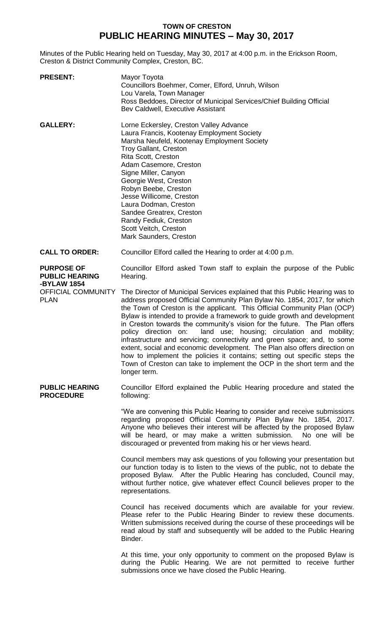## **TOWN OF CRESTON PUBLIC HEARING MINUTES – May 30, 2017**

Minutes of the Public Hearing held on Tuesday, May 30, 2017 at 4:00 p.m. in the Erickson Room, Creston & District Community Complex, Creston, BC.

| <b>PRESENT:</b>                                           | Mayor Toyota<br>Councillors Boehmer, Comer, Elford, Unruh, Wilson<br>Lou Varela, Town Manager<br>Ross Beddoes, Director of Municipal Services/Chief Building Official<br>Bev Caldwell, Executive Assistant                                                                                                                                                                                                                                                                                                                                                                                                                                                                                                                                                                                              |
|-----------------------------------------------------------|---------------------------------------------------------------------------------------------------------------------------------------------------------------------------------------------------------------------------------------------------------------------------------------------------------------------------------------------------------------------------------------------------------------------------------------------------------------------------------------------------------------------------------------------------------------------------------------------------------------------------------------------------------------------------------------------------------------------------------------------------------------------------------------------------------|
| <b>GALLERY:</b>                                           | Lorne Eckersley, Creston Valley Advance<br>Laura Francis, Kootenay Employment Society<br>Marsha Neufeld, Kootenay Employment Society<br><b>Troy Gallant, Creston</b><br>Rita Scott, Creston<br>Adam Casemore, Creston<br>Signe Miller, Canyon<br>Georgie West, Creston<br>Robyn Beebe, Creston<br>Jesse Willicome, Creston<br>Laura Dodman, Creston<br>Sandee Greatrex, Creston<br>Randy Fediuk, Creston<br>Scott Veitch, Creston<br>Mark Saunders, Creston                                                                                                                                                                                                                                                                                                                                             |
| <b>CALL TO ORDER:</b>                                     | Councillor Elford called the Hearing to order at 4:00 p.m.                                                                                                                                                                                                                                                                                                                                                                                                                                                                                                                                                                                                                                                                                                                                              |
| <b>PURPOSE OF</b><br><b>PUBLIC HEARING</b><br>-BYLAW 1854 | Councillor Elford asked Town staff to explain the purpose of the Public<br>Hearing.                                                                                                                                                                                                                                                                                                                                                                                                                                                                                                                                                                                                                                                                                                                     |
| OFFICIAL COMMUNITY<br><b>PLAN</b>                         | The Director of Municipal Services explained that this Public Hearing was to<br>address proposed Official Community Plan Bylaw No. 1854, 2017, for which<br>the Town of Creston is the applicant. This Official Community Plan (OCP)<br>Bylaw is intended to provide a framework to guide growth and development<br>in Creston towards the community's vision for the future. The Plan offers<br>land use; housing; circulation and mobility;<br>policy direction on:<br>infrastructure and servicing; connectivity and green space; and, to some<br>extent, social and economic development. The Plan also offers direction on<br>how to implement the policies it contains; setting out specific steps the<br>Town of Creston can take to implement the OCP in the short term and the<br>longer term. |
| <b>PUBLIC HEARING</b><br><b>PROCEDURE</b>                 | Councillor Elford explained the Public Hearing procedure and stated the<br>following:                                                                                                                                                                                                                                                                                                                                                                                                                                                                                                                                                                                                                                                                                                                   |
|                                                           | "We are convening this Public Hearing to consider and receive submissions<br>regarding proposed Official Community Plan Bylaw No. 1854, 2017.<br>Anyone who believes their interest will be affected by the proposed Bylaw<br>will be heard, or may make a written submission.<br>No one will be<br>discouraged or prevented from making his or her views heard.                                                                                                                                                                                                                                                                                                                                                                                                                                        |
|                                                           | Council members may ask questions of you following your presentation but<br>our function today is to listen to the views of the public, not to debate the<br>proposed Bylaw. After the Public Hearing has concluded, Council may,<br>without further notice, give whatever effect Council believes proper to the<br>representations.                                                                                                                                                                                                                                                                                                                                                                                                                                                                    |
|                                                           | Council has received documents which are available for your review.<br>Please refer to the Public Hearing Binder to review these documents.<br>Written submissions received during the course of these proceedings will be<br>read aloud by staff and subsequently will be added to the Public Hearing<br>Binder.                                                                                                                                                                                                                                                                                                                                                                                                                                                                                       |
|                                                           | At this time, your only opportunity to comment on the proposed Bylaw is<br>during the Public Hearing. We are not permitted to receive further<br>submissions once we have closed the Public Hearing.                                                                                                                                                                                                                                                                                                                                                                                                                                                                                                                                                                                                    |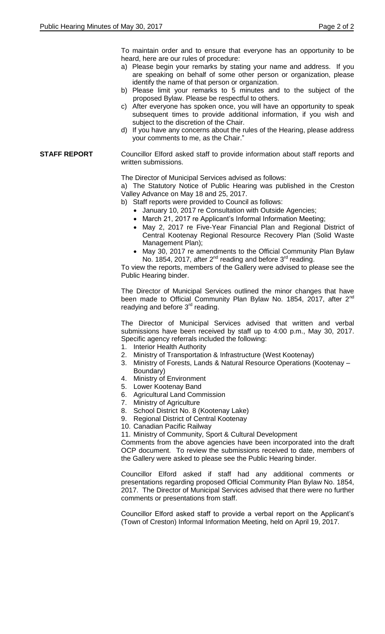To maintain order and to ensure that everyone has an opportunity to be heard, here are our rules of procedure:

- a) Please begin your remarks by stating your name and address. If you are speaking on behalf of some other person or organization, please identify the name of that person or organization.
- b) Please limit your remarks to 5 minutes and to the subject of the proposed Bylaw. Please be respectful to others.
- c) After everyone has spoken once, you will have an opportunity to speak subsequent times to provide additional information, if you wish and subject to the discretion of the Chair.
- d) If you have any concerns about the rules of the Hearing, please address your comments to me, as the Chair."

## **STAFF REPORT** Councillor Elford asked staff to provide information about staff reports and written submissions.

The Director of Municipal Services advised as follows:

a) The Statutory Notice of Public Hearing was published in the Creston Valley Advance on May 18 and 25, 2017.

b) Staff reports were provided to Council as follows:

- January 10, 2017 re Consultation with Outside Agencies;
- March 21, 2017 re Applicant's Informal Information Meeting;
- May 2, 2017 re Five-Year Financial Plan and Regional District of Central Kootenay Regional Resource Recovery Plan (Solid Waste Management Plan);
- May 30, 2017 re amendments to the Official Community Plan Bylaw No. 1854, 2017, after  $2^{nd}$  reading and before  $3^{rd}$  reading.

To view the reports, members of the Gallery were advised to please see the Public Hearing binder.

The Director of Municipal Services outlined the minor changes that have been made to Official Community Plan Bylaw No. 1854, 2017, after 2<sup>nd</sup> readying and before 3<sup>rd</sup> reading.

The Director of Municipal Services advised that written and verbal submissions have been received by staff up to 4:00 p.m., May 30, 2017. Specific agency referrals included the following:

- 1. Interior Health Authority
- 2. Ministry of Transportation & Infrastructure (West Kootenay)
- 3. Ministry of Forests, Lands & Natural Resource Operations (Kootenay –
- Boundary)
- 4. Ministry of Environment
- 5. Lower Kootenay Band
- 6. Agricultural Land Commission
- 7. Ministry of Agriculture
- 8. School District No. 8 (Kootenay Lake)
- 9. Regional District of Central Kootenay
- 10. Canadian Pacific Railway

11. Ministry of Community, Sport & Cultural Development

Comments from the above agencies have been incorporated into the draft OCP document. To review the submissions received to date, members of the Gallery were asked to please see the Public Hearing binder.

Councillor Elford asked if staff had any additional comments or presentations regarding proposed Official Community Plan Bylaw No. 1854, 2017. The Director of Municipal Services advised that there were no further comments or presentations from staff.

Councillor Elford asked staff to provide a verbal report on the Applicant's (Town of Creston) Informal Information Meeting, held on April 19, 2017.